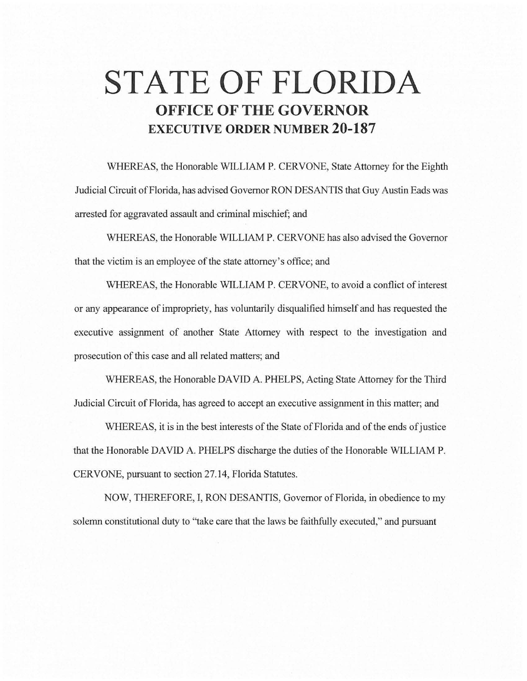# **STATE OF FLORIDA OFFICE OF THE GOVERNOR EXECUTIVE ORDER NUMBER 20-187**

WHEREAS, the Honorable WILLIAM P. CERVONE, State Attorney for the Eighth Judicial Circuit of Florida, has advised Governor RON DESANTIS that Guy Austin Eads was arrested for aggravated assault and criminal mischief; and

WHEREAS, the Honorable WILLIAM P. CERVONE has also advised the Governor that the victim is an employee of the state attorney's office; and

WHEREAS, the Honorable WILLIAM P. CERVONE, to avoid a conflict of interest or any appearance of impropriety, has voluntarily disqualified himself and has requested the executive assignment of another State Attorney with respect to the investigation and prosecution of this case and all related matters; and

WHEREAS, the Honorable DAVID A. PHELPS, Acting State Attorney for the Third Judicial Circuit of Florida, has agreed to accept an executive assignment in this matter; and

WHEREAS, it is in the best interests of the State of Florida and of the ends of justice that the Honorable DAVID A. PHELPS discharge the duties of the Honorable WILLIAM P. CERVONE, pursuant to section 27.14, Florida Statutes.

NOW, THEREFORE, I, RON DESANTIS, Governor of Florida, in obedience to my solemn constitutional duty to "take care that the laws be faithfully executed," and pursuant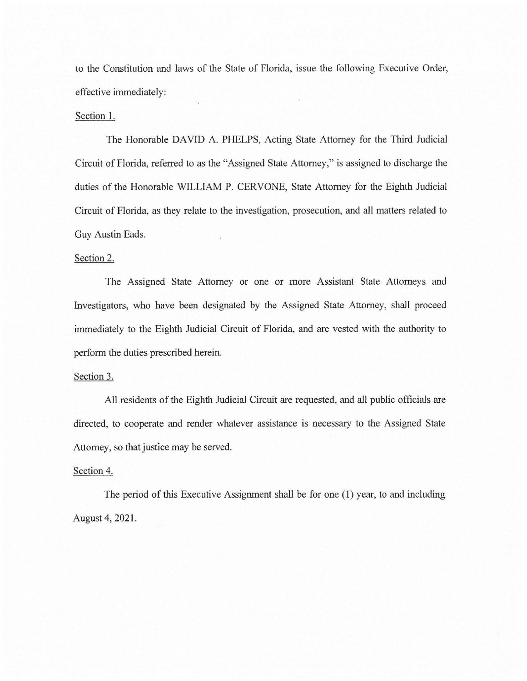to the Constitution and laws of the State of Florida, issue the following Executive Order, effective immediately:

#### Section 1.

The Honorable DAVID A. PHELPS, Acting State Attorney for the Third Judicial Circuit of Florida, referred to as the "Assigned State Attorney," is assigned to discharge the duties of the Honorable WILLIAM P. CERVONE, State Attorney for the Eighth Judicial Circuit of Florida, as they relate to the investigation, prosecution, and all matters related to Guy Austin Eads.

## Section 2.

The Assigned State Attorney or one or more Assistant State Attorneys and Investigators, who have been designated by the Assigned State Attorney, shall proceed immediately to the Eighth Judicial Circuit of Florida, and are vested with the authority to perform the duties prescribed herein.

## Section 3.

All residents of the Eighth Judicial Circuit are requested, and all public officials are directed, to cooperate and render whatever assistance is necessary to the Assigned State Attorney, so that justice may be served.

#### Section 4.

The period of this Executive Assignment shall be for one (1) year, to and including August 4, 2021.